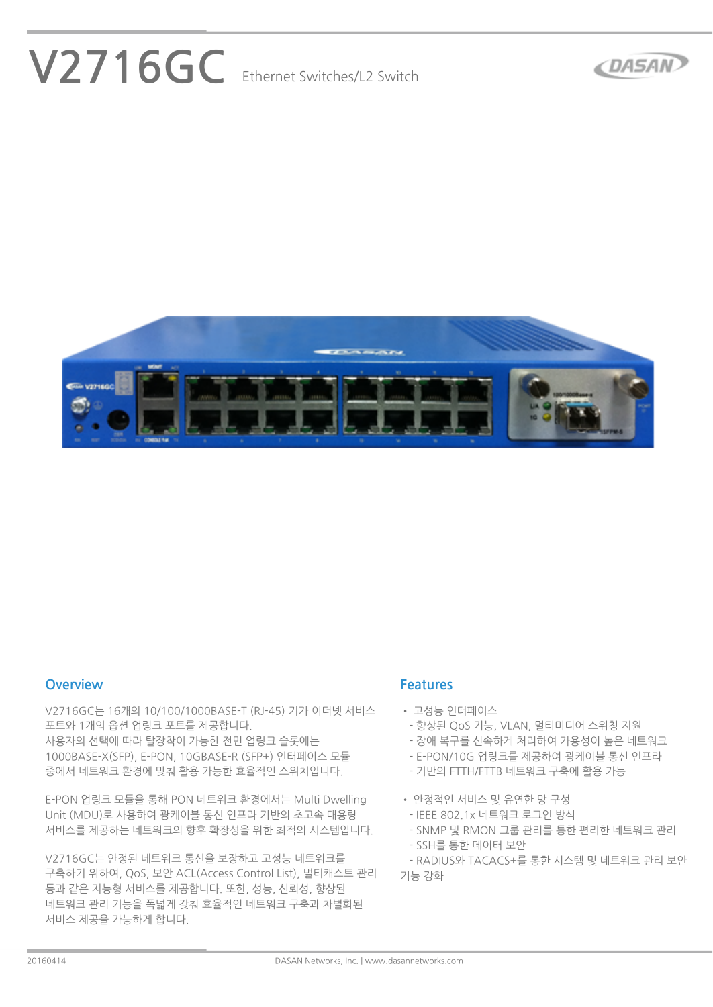# **V2716GC Ethernet Switches/L2 Switch**





#### **Overview**

**V2716GC는 16개의 10/100/1000BASE-T (RJ-45) 기가 이더넷 서비스 포트와 1개의 옵션 업링크 포트를 제공합니다.**

**사용자의 선택에 따라 탈장착이 가능한 전면 업링크 슬롯에는 1000BASE-X(SFP), E-PON, 10GBASE-R (SFP+) 인터페이스 모듈 중에서 네트워크 환경에 맞춰 활용 가능한 효율적인 스위치입니다.**

**E-PON 업링크 모듈을 통해 PON 네트워크 환경에서는 Multi Dwelling Unit (MDU)로 사용하여 광케이블 통신 인프라 기반의 초고속 대용량 서비스를 제공하는 네트워크의 향후 확장성을 위한 최적의 시스템입니다.**

**V2716GC는 안정된 네트워크 통신을 보장하고 고성능 네트워크를 구축하기 위하여, QoS, 보안 ACL(Access Control List), 멀티캐스트 관리 등과 같은 지능형 서비스를 제공합니다. 또한, 성능, 신뢰성, 향상된 네트워크 관리 기능을 폭넓게 갖춰 효율적인 네트워크 구축과 차별화된 서비스 제공을 가능하게 합니다.**

#### **Features**

- **• 고성능 인터페이스**
- **- 향상된 QoS 기능, VLAN, 멀티미디어 스위칭 지원**
- **- 장애 복구를 신속하게 처리하여 가용성이 높은 네트워크**
- **- E-PON/10G 업링크를 제공하여 광케이블 통신 인프라**
- **- 기반의 FTTH/FTTB 네트워크 구축에 활용 가능**
- **• 안정적인 서비스 및 유연한 망 구성**
- **- IEEE 802.1x 네트워크 로그인 방식**
- **- SNMP 및 RMON 그룹 관리를 통한 편리한 네트워크 관리**
- **- SSH를 통한 데이터 보안**

 **- RADIUS와 TACACS+를 통한 시스템 및 네트워크 관리 보안 기능 강화**